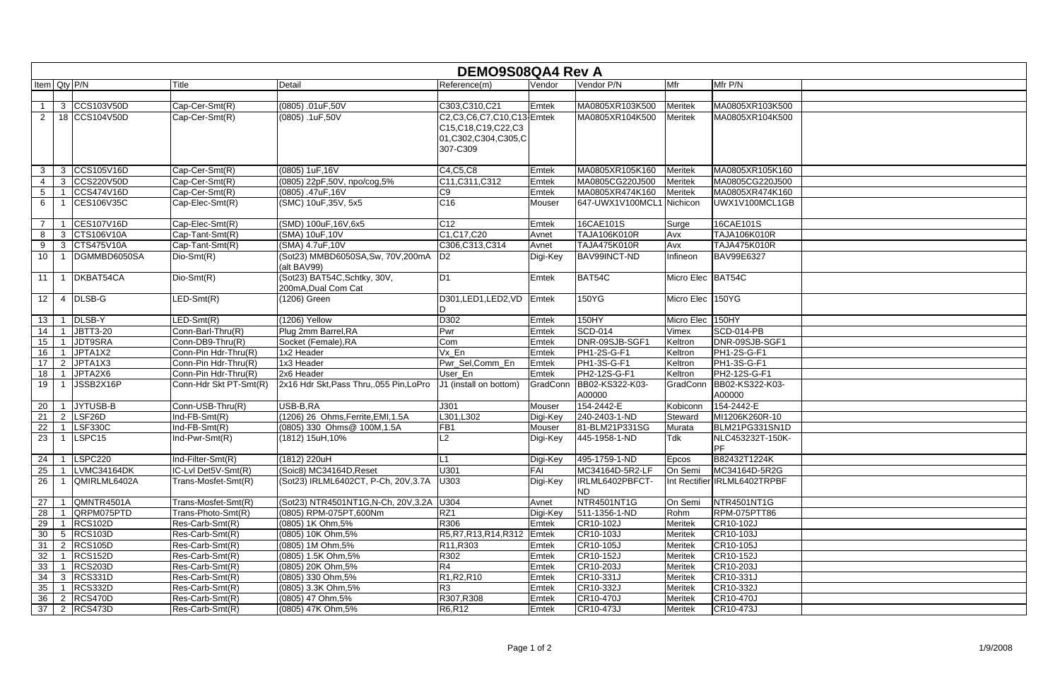|                 |                |                     | <b>DEMO9S08QA4 Rev A</b> |                                                     |                                                                                        |          |                              |                   |                                     |
|-----------------|----------------|---------------------|--------------------------|-----------------------------------------------------|----------------------------------------------------------------------------------------|----------|------------------------------|-------------------|-------------------------------------|
| Item Qty P/N    |                |                     | Title                    | Detail                                              | Reference(m)                                                                           | Vendor   | Vendor P/N                   | Mfr               | Mfr P/N                             |
|                 |                |                     |                          |                                                     |                                                                                        |          |                              |                   |                                     |
| $\mathbf{1}$    | 3              | CCS103V50D          | Cap-Cer-Smt(R)           | (0805) .01uF,50V                                    | C303,C310,C21                                                                          | Emtek    | MA0805XR103K500              | <b>Meritek</b>    | MA0805XR103K500                     |
| 2               |                | 18 CCS104V50D       | Cap-Cer-Smt(R)           | $(0805)$ . 1uF, 50V                                 | C2,C3,C6,C7,C10,C13 Emtek<br>C15,C18,C19,C22,C3<br>01, C302, C304, C305, C<br>307-C309 |          | MA0805XR104K500              | Meritek           | MA0805XR104K500                     |
| 3               | 3              | CCS105V16D          | Cap-Cer-Smt(R)           | (0805) 1uF, 16V                                     | C4, C5, C8                                                                             | Emtek    | MA0805XR105K160              | <b>Meritek</b>    | MA0805XR105K160                     |
| 4               | 3              | <b>CCS220V50D</b>   | Cap-Cer-Smt(R)           | (0805) 22pF,50V, npo/cog,5%                         | C11, C311, C312                                                                        | Emtek    | MA0805CG220J500              | <b>Meritek</b>    | MA0805CG220J500                     |
| $\sqrt{5}$      | 1              | CCS474V16D          | Cap-Cer-Smt(R)           | (0805) .47uF,16V                                    | C <sub>9</sub>                                                                         | Emtek    | MA0805XR474K160              | <b>Meritek</b>    | MA0805XR474K160                     |
| 6               | $\mathbf 1$    | CES106V35C          | Cap-Elec-Smt(R)          | (SMC) 10uF, 35V, 5x5                                | C16                                                                                    | Mouser   | 647-UWX1V100MCL1             | Nichicon          | UWX1V100MCL1GB                      |
| $\overline{7}$  | $\mathbf 1$    | CES107V16D          | Cap-Elec-Smt(R)          | (SMD) 100uF, 16V, 6x5                               | C <sub>12</sub>                                                                        | Emtek    | 16CAE101S                    | Surge             | 16CAE101S                           |
| 8               | 3              | CTS106V10A          | Cap-Tant-Smt(R)          | (SMA) 10uF, 10V                                     | C1, C17, C20                                                                           | Avnet    | TAJA106K010R                 | Avx               | <b>TAJA106K010R</b>                 |
| 9               | $\mathbf{3}$   | CTS475V10A          | Cap-Tant-Smt(R)          | (SMA) 4.7uF,10V                                     | C306, C313, C314                                                                       | Avnet    | TAJA475K010R                 | Avx               | <b>TAJA475K010R</b>                 |
| 10              | $\mathbf{1}$   | DGMMBD6050SA        | Dio-Smt(R)               | (Sot23) MMBD6050SA, Sw, 70V, 200mA<br>(alt BAV99)   | ID2                                                                                    | Digi-Key | BAV99INCT-ND                 | Infineon          | <b>BAV99E6327</b>                   |
| 11              | $\mathbf 1$    | DKBAT54CA           | Dio-Smt(R)               | (Sot23) BAT54C, Schtky, 30V,<br>200mA, Dual Com Cat | D <sub>1</sub>                                                                         | Emtek    | BAT54C                       | Micro Elec BAT54C |                                     |
| 12              |                | 4 DLSB-G            | $LED-Smt(R)$             | (1206) Green                                        | D301,LED1,LED2,VD<br>D                                                                 | Emtek    | 150YG                        | Micro Elec 150YG  |                                     |
| 13              | $\mathbf{1}$   | DLSB-Y              | $LED-Smt(R)$             | $(1206)$ Yellow                                     | D302                                                                                   | Emtek    | 150HY                        | Micro Elec 150HY  |                                     |
| 14              | $\mathbf{1}$   | JBTT3-20            | Conn-Barl-Thru(R)        | Plug 2mm Barrel, RA                                 | Pwr                                                                                    | Emtek    | <b>SCD-014</b>               | Vimex             | SCD-014-PB                          |
| 15              | $\mathbf{1}$   | JDT9SRA             | Conn-DB9-Thru(R)         | Socket (Female), RA                                 | Com                                                                                    | Emtek    | DNR-09SJB-SGF1               | Keltron           | DNR-09SJB-SGF1                      |
| 16              | $\mathbf{1}$   | JPTA1X2             | Conn-Pin Hdr-Thru(R)     | 1x2 Header                                          | Vx En                                                                                  | Emtek    | <b>PH1-2S-G-F1</b>           | Keltron           | <b>PH1-2S-G-F1</b>                  |
| 17              | $\overline{2}$ | JPTA1X3             | Conn-Pin Hdr-Thru(R)     | 1x3 Header                                          | Pwr_Sel,Comm_En                                                                        | Emtek    | PH1-3S-G-F1                  | Keltron           | PH1-3S-G-F1                         |
| 18              | $\overline{1}$ | JPTA2X6             | Conn-Pin Hdr-Thru(R)     | 2x6 Header                                          | User En                                                                                | Emtek    | PH2-12S-G-F1                 | Keltron           | PH2-12S-G-F1                        |
| 19              |                | JSSB2X16P           | Conn-Hdr Skt PT-Smt(R)   | 2x16 Hdr Skt, Pass Thru, 055 Pin, LoPro             | J1 (install on bottom)                                                                 | GradConn | BB02-KS322-K03-<br>A00000    | GradConn          | BB02-KS322-K03-<br>A00000           |
| 20              | $\mathbf 1$    | JYTUSB-B            | Conn-USB-Thru(R)         | USB-B,RA                                            | J301                                                                                   | Mouser   | 154-2442-E                   | Kobiconn          | 154-2442-E                          |
| 21              | $\overline{2}$ | LSF <sub>26</sub> D | $Ind-FB-Smt(R)$          | (1206) 26 Ohms, Ferrite, EMI, 1.5A                  | L301, L302                                                                             | Digi-Key | 240-2403-1-ND                | Steward           | MI1206K260R-10                      |
| 22              |                | LSF330C             | $Ind$ -FB-Smt $(R)$      | (0805) 330 Ohms@ 100M, 1.5A                         | FB1                                                                                    | Mouser   | 81-BLM21P331SG               | Murata            | BLM21PG331SN1D                      |
| $\overline{23}$ | $\mathbf{1}$   | LSPC <sub>15</sub>  | Ind-Pwr-Smt(R)           | (1812) 15uH, 10%                                    | L2                                                                                     | Digi-Key | 445-1958-1-ND                | Tdk               | NLC453232T-150K-<br> PF             |
| 24              | $\mathbf 1$    | LSPC220             | Ind-Filter-Smt(R)        | (1812) 220uH                                        | L1                                                                                     | Digi-Key | 495-1759-1-ND                | Epcos             | B82432T1224K                        |
| 25              |                | LVMC34164DK         | IC-Lvl Det5V-Smt(R)      | (Soic8) MC34164D, Reset                             | U301                                                                                   | FAI      | MC34164D-5R2-LF              | On Semi           | MC34164D-5R2G                       |
| 26              |                | QMIRLML6402A        | Trans-Mosfet-Smt(R)      | (Sot23) IRLML6402CT, P-Ch, 20V, 3.7A                | U303                                                                                   | Digi-Key | IRLML6402PBFCT-<br><b>ND</b> |                   | Int Rectifier <b>IRLML6402TRPBF</b> |
| 27              |                | QMNTR4501A          | Trans-Mosfet-Smt(R)      | (Sot23) NTR4501NT1G, N-Ch, 20V, 3.2A                | U304                                                                                   | Avnet    | NTR4501NT1G                  | On Semi           | NTR4501NT1G                         |
| 28              |                | QRPM075PTD          | Trans-Photo-Smt(R)       | (0805) RPM-075PT,600Nm                              | RZ1                                                                                    | Digi-Key | 511-1356-1-ND                | Rohm              | RPM-075PTT86                        |
| 29              |                | RCS102D             | Res-Carb-Smt(R)          | (0805) 1K Ohm, 5%                                   | R306                                                                                   | Emtek    | CR10-102J                    | Meritek           | CR10-102J                           |
| 30              |                | 5 RCS103D           | Res-Carb-Smt(R)          | (0805) 10K Ohm, 5%                                  | R5, R7, R13, R14, R312                                                                 | Emtek    | CR10-103J                    | Meritek           | CR10-103J                           |
| 31              | $\mathbf{2}$   | <b>RCS105D</b>      | Res-Carb-Smt(R)          | (0805) 1M Ohm, 5%                                   | R11, R303                                                                              | Emtek    | CR10-105J                    | Meritek           | CR10-105J                           |
| 32              |                | RCS152D             | Res-Carb-Smt(R)          | (0805) 1.5K Ohm, 5%                                 | R302                                                                                   | Emtek    | CR10-152J                    | Meritek           | CR10-152J                           |
| 33              |                | RCS203D             | Res-Carb-Smt(R)          | (0805) 20K Ohm, 5%                                  | R4                                                                                     | Emtek    | CR10-203J                    | Meritek           | CR10-203J                           |
| 34              |                | 3 RCS331D           | Res-Carb-Smt(R)          | (0805) 330 Ohm, 5%                                  | R1, R2, R10                                                                            | Emtek    | CR10-331J                    | Meritek           | CR10-331J                           |
| 35              |                | RCS332D             | Res-Carb-Smt(R)          | (0805) 3.3K Ohm, 5%                                 | R <sub>3</sub>                                                                         | Emtek    | CR10-332J                    | <b>Meritek</b>    | CR10-332J                           |
| 36              |                | 2 RCS470D           | Res-Carb-Smt(R)          | (0805) 47 Ohm, 5%                                   | R307, R308                                                                             | Emtek    | CR10-470J                    | Meritek           | CR10-470J                           |
| 37              |                | 2 RCS473D           | Res-Carb-Smt(R)          | (0805) 47K Ohm, 5%                                  | R6,R12                                                                                 | Emtek    | CR10-473J                    | <b>Meritek</b>    | CR10-473J                           |

| 500<br>500               |  |
|--------------------------|--|
|                          |  |
|                          |  |
|                          |  |
|                          |  |
| $\overline{160}$         |  |
| 500                      |  |
| $\frac{160}{GB}$         |  |
|                          |  |
|                          |  |
|                          |  |
|                          |  |
|                          |  |
|                          |  |
|                          |  |
|                          |  |
|                          |  |
|                          |  |
|                          |  |
| $\overline{1}$           |  |
|                          |  |
|                          |  |
| $\overline{\phantom{a}}$ |  |
|                          |  |
|                          |  |
|                          |  |
| 1D                       |  |
| Ж-                       |  |
|                          |  |
|                          |  |
| $\frac{1}{2}$            |  |
| $\overline{F}$           |  |
|                          |  |
|                          |  |
|                          |  |
|                          |  |
|                          |  |
|                          |  |
|                          |  |
|                          |  |
|                          |  |
|                          |  |
|                          |  |